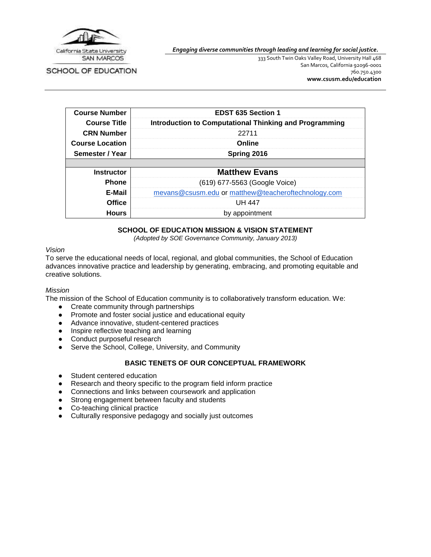

*Engaging diverse communities through leading and learning for social justice.*

SCHOOL OF EDUCATION

333 South Twin Oaks Valley Road, University Hall 468 San Marcos, California 92096-0001 760.750.4300 **[www.csusm.edu/education](http://www.csusm.edu/education)**

| <b>Course Number</b>   | <b>EDST 635 Section 1</b>                                     |  |
|------------------------|---------------------------------------------------------------|--|
| <b>Course Title</b>    | <b>Introduction to Computational Thinking and Programming</b> |  |
| <b>CRN Number</b>      | 22711                                                         |  |
| <b>Course Location</b> | Online                                                        |  |
| Semester / Year        | Spring 2016                                                   |  |
|                        |                                                               |  |
| <b>Instructor</b>      | <b>Matthew Evans</b>                                          |  |
| <b>Phone</b>           | (619) 677-5563 (Google Voice)                                 |  |
| E-Mail                 | mevans@csusm.edu or matthew@teacheroftechnology.com           |  |
| <b>Office</b>          | UH 447                                                        |  |
| <b>Hours</b>           | by appointment                                                |  |

### **SCHOOL OF EDUCATION MISSION & VISION STATEMENT**

*(Adopted by SOE Governance Community, January 2013)*

#### *Vision*

To serve the educational needs of local, regional, and global communities, the School of Education advances innovative practice and leadership by generating, embracing, and promoting equitable and creative solutions.

#### *Mission*

The mission of the School of Education community is to collaboratively transform education. We:

- Create community through partnerships
- Promote and foster social justice and educational equity
- Advance innovative, student-centered practices
- Inspire reflective teaching and learning
- Conduct purposeful research
- Serve the School, College, University, and Community

#### **BASIC TENETS OF OUR CONCEPTUAL FRAMEWORK**

- Student centered education
- Research and theory specific to the program field inform practice
- Connections and links between coursework and application
- Strong engagement between faculty and students
- Co-teaching clinical practice
- Culturally responsive pedagogy and socially just outcomes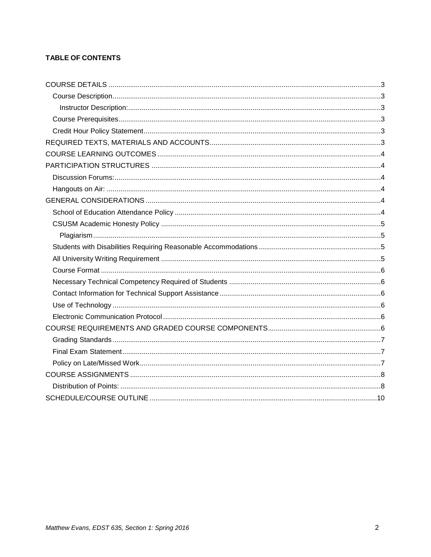# **TABLE OF CONTENTS**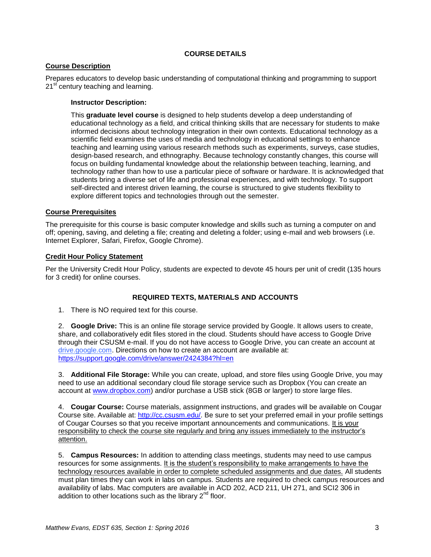## **COURSE DETAILS**

### <span id="page-2-1"></span><span id="page-2-0"></span>**Course Description**

<span id="page-2-2"></span>Prepares educators to develop basic understanding of computational thinking and programming to support 21<sup>st</sup> century teaching and learning.

### **Instructor Description:**

This **graduate level course** is designed to help students develop a deep understanding of educational technology as a field, and critical thinking skills that are necessary for students to make informed decisions about technology integration in their own contexts. Educational technology as a scientific field examines the uses of media and technology in educational settings to enhance teaching and learning using various research methods such as experiments, surveys, case studies, design-based research, and ethnography. Because technology constantly changes, this course will focus on building fundamental knowledge about the relationship between teaching, learning, and technology rather than how to use a particular piece of software or hardware. It is acknowledged that students bring a diverse set of life and professional experiences, and with technology. To support self-directed and interest driven learning, the course is structured to give students flexibility to explore different topics and technologies through out the semester.

### <span id="page-2-3"></span>**Course Prerequisites**

The prerequisite for this course is basic computer knowledge and skills such as turning a computer on and off; opening, saving, and deleting a file; creating and deleting a folder; using e-mail and web browsers (i.e. Internet Explorer, Safari, Firefox, Google Chrome).

#### <span id="page-2-4"></span>**Credit Hour Policy Statement**

Per the University Credit Hour Policy, students are expected to devote 45 hours per unit of credit (135 hours for 3 credit) for online courses.

## **REQUIRED TEXTS, MATERIALS AND ACCOUNTS**

<span id="page-2-5"></span>1. There is NO required text for this course.

2. **Google Drive:** This is an online file storage service provided by Google. It allows users to create, share, and collaboratively edit files stored in the cloud. Students should have access to Google Drive through their CSUSM e-mail. If you do not have access to Google Drive, you can create an account at drive.google.com. Directions on how to create an account are available at: <https://support.google.com/drive/answer/2424384?hl=en>

3. **Additional File Storage:** While you can create, upload, and store files using Google Drive, you may need to use an additional secondary cloud file storage service such as Dropbox (You can create an account at [www.dropbox.com\)](http://www.dropbox.com/) and/or purchase a USB stick (8GB or larger) to store large files.

4. **Cougar Course:** Course materials, assignment instructions, and grades will be available on Cougar Course site. Available at: [http://cc.csusm.edu/.](http://cc.csusm.edu/) Be sure to set your preferred email in your profile settings of Cougar Courses so that you receive important announcements and communications. It is your responsibility to check the course site regularly and bring any issues immediately to the instructor's attention.

5. **Campus Resources:** In addition to attending class meetings, students may need to use campus resources for some assignments. It is the student's responsibility to make arrangements to have the technology resources available in order to complete scheduled assignments and due dates. All students must plan times they can work in labs on campus. Students are required to check campus resources and availability of labs. Mac computers are available in ACD 202, ACD 211, UH 271, and SCI2 306 in addition to other locations such as the library  $2<sup>nd</sup>$  floor.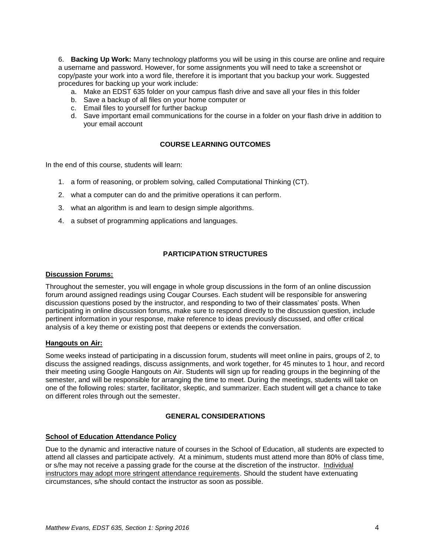6. **Backing Up Work:** Many technology platforms you will be using in this course are online and require a username and password. However, for some assignments you will need to take a screenshot or copy/paste your work into a word file, therefore it is important that you backup your work. Suggested procedures for backing up your work include:

- a. Make an EDST 635 folder on your campus flash drive and save all your files in this folder
- b. Save a backup of all files on your home computer or
- c. Email files to yourself for further backup
- d. Save important email communications for the course in a folder on your flash drive in addition to your email account

### **COURSE LEARNING OUTCOMES**

<span id="page-3-0"></span>In the end of this course, students will learn:

- 1. a form of reasoning, or problem solving, called Computational Thinking (CT).
- 2. what a computer can do and the primitive operations it can perform.
- 3. what an algorithm is and learn to design simple algorithms.
- 4. a subset of programming applications and languages.

### **PARTICIPATION STRUCTURES**

#### <span id="page-3-2"></span><span id="page-3-1"></span>**Discussion Forums:**

Throughout the semester, you will engage in whole group discussions in the form of an online discussion forum around assigned readings using Cougar Courses. Each student will be responsible for answering discussion questions posed by the instructor, and responding to two of their classmates' posts. When participating in online discussion forums, make sure to respond directly to the discussion question, include pertinent information in your response, make reference to ideas previously discussed, and offer critical analysis of a key theme or existing post that deepens or extends the conversation.

#### <span id="page-3-3"></span>**Hangouts on Air:**

Some weeks instead of participating in a discussion forum, students will meet online in pairs, groups of 2, to discuss the assigned readings, discuss assignments, and work together, for 45 minutes to 1 hour, and record their meeting using Google Hangouts on Air. Students will sign up for reading groups in the beginning of the semester, and will be responsible for arranging the time to meet. During the meetings, students will take on one of the following roles: starter, facilitator, skeptic, and summarizer. Each student will get a chance to take on different roles through out the semester.

#### **GENERAL CONSIDERATIONS**

### <span id="page-3-5"></span><span id="page-3-4"></span>**School of Education Attendance Policy**

Due to the dynamic and interactive nature of courses in the School of Education, all students are expected to attend all classes and participate actively. At a minimum, students must attend more than 80% of class time, or s/he may not receive a passing grade for the course at the discretion of the instructor. Individual instructors may adopt more stringent attendance requirements. Should the student have extenuating circumstances, s/he should contact the instructor as soon as possible.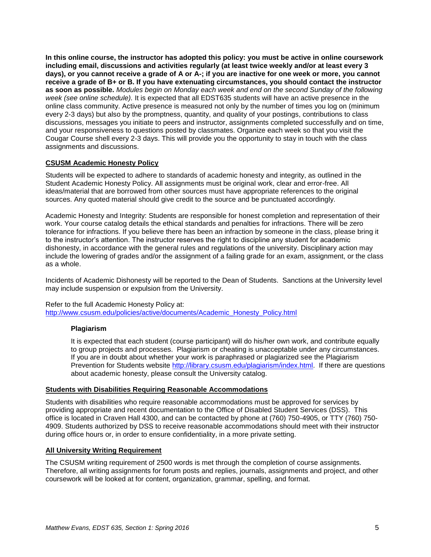**In this online course, the instructor has adopted this policy: you must be active in online coursework including email, discussions and activities regularly (at least twice weekly and/or at least every 3 days), or you cannot receive a grade of A or A-; if you are inactive for one week or more, you cannot receive a grade of B+ or B. If you have extenuating circumstances, you should contact the instructor as soon as possible.** *Modules begin on Monday each week and end on the second Sunday of the following week (see online schedule).* It is expected that all EDST635 students will have an active presence in the online class community. Active presence is measured not only by the number of times you log on (minimum every 2-3 days) but also by the promptness, quantity, and quality of your postings, contributions to class discussions, messages you initiate to peers and instructor, assignments completed successfully and on time, and your responsiveness to questions posted by classmates. Organize each week so that you visit the Cougar Course shell every 2-3 days. This will provide you the opportunity to stay in touch with the class assignments and discussions.

### <span id="page-4-0"></span>**CSUSM Academic Honesty Policy**

Students will be expected to adhere to standards of academic honesty and integrity, as outlined in the Student Academic Honesty Policy. All assignments must be original work, clear and error-free. All ideas/material that are borrowed from other sources must have appropriate references to the original sources. Any quoted material should give credit to the source and be punctuated accordingly.

Academic Honesty and Integrity: Students are responsible for honest completion and representation of their work. Your course catalog details the ethical standards and penalties for infractions. There will be zero tolerance for infractions. If you believe there has been an infraction by someone in the class, please bring it to the instructor's attention. The instructor reserves the right to discipline any student for academic dishonesty, in accordance with the general rules and regulations of the university. Disciplinary action may include the lowering of grades and/or the assignment of a failing grade for an exam, assignment, or the class as a whole.

Incidents of Academic Dishonesty will be reported to the Dean of Students. Sanctions at the University level may include suspension or expulsion from the University.

#### <span id="page-4-1"></span>Refer to the full Academic Honesty Policy at: [http://www.csusm.edu/policies/active/documents/Academic\\_Honesty\\_Policy.html](http://www.csusm.edu/policies/active/documents/Academic_Honesty_Policy.html)

#### **Plagiarism**

It is expected that each student (course participant) will do his/her own work, and contribute equally to group projects and processes. Plagiarism or cheating is unacceptable under any circumstances. If you are in doubt about whether your work is paraphrased or plagiarized see the Plagiarism Prevention for Students website [http://library.csusm.edu/plagiarism/index.html.](http://library.csusm.edu/plagiarism/index.html) If there are questions about academic honesty, please consult the University catalog.

#### <span id="page-4-2"></span>**Students with Disabilities Requiring Reasonable Accommodations**

Students with disabilities who require reasonable accommodations must be approved for services by providing appropriate and recent documentation to the Office of Disabled Student Services (DSS). This office is located in Craven Hall 4300, and can be contacted by phone at (760) 750-4905, or TTY (760) 750- 4909. Students authorized by DSS to receive reasonable accommodations should meet with their instructor during office hours or, in order to ensure confidentiality, in a more private setting.

#### <span id="page-4-3"></span>**All University Writing Requirement**

The CSUSM writing requirement of 2500 words is met through the completion of course assignments. Therefore, all writing assignments for forum posts and replies, journals, assignments and project, and other coursework will be looked at for content, organization, grammar, spelling, and format.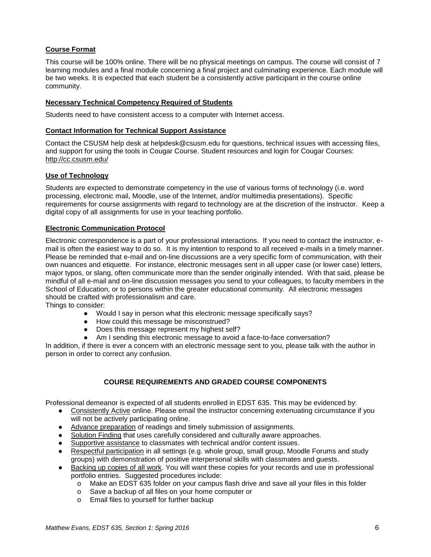### <span id="page-5-0"></span>**Course Format**

This course will be 100% online. There will be no physical meetings on campus. The course will consist of 7 learning modules and a final module concerning a final project and culminating experience. Each module will be two weeks. It is expected that each student be a consistently active participant in the course online community.

### <span id="page-5-1"></span>**Necessary Technical Competency Required of Students**

Students need to have consistent access to a computer with Internet access.

#### <span id="page-5-2"></span>**Contact Information for Technical Support Assistance**

Contact the CSUSM help desk at helpdesk@csusm.edu for questions, technical issues with accessing files, and support for using the tools in Cougar Course. Student resources and login for Cougar Courses[:](http://cc.csusm.edu/) <http://cc.csusm.edu/>

### <span id="page-5-3"></span>**Use of Technology**

Students are expected to demonstrate competency in the use of various forms of technology (i.e. word processing, electronic mail, Moodle, use of the Internet, and/or multimedia presentations). Specific requirements for course assignments with regard to technology are at the discretion of the instructor. Keep a digital copy of all assignments for use in your teaching portfolio.

### <span id="page-5-4"></span>**Electronic Communication Protocol**

Electronic correspondence is a part of your professional interactions. If you need to contact the instructor, email is often the easiest way to do so. It is my intention to respond to all received e-mails in a timely manner. Please be reminded that e-mail and on-line discussions are a very specific form of communication, with their own nuances and etiquette. For instance, electronic messages sent in all upper case (or lower case) letters, major typos, or slang, often communicate more than the sender originally intended. With that said, please be mindful of all e-mail and on-line discussion messages you send to your colleagues, to faculty members in the School of Education, or to persons within the greater educational community. All electronic messages should be crafted with professionalism and care.

Things to consider:

- Would I say in person what this electronic message specifically says?
- How could this message be misconstrued?
- Does this message represent my highest self?
- Am I sending this electronic message to avoid a face-to-face conversation?

In addition, if there is ever a concern with an electronic message sent to you, please talk with the author in person in order to correct any confusion.

### **COURSE REQUIREMENTS AND GRADED COURSE COMPONENTS**

<span id="page-5-5"></span>Professional demeanor is expected of all students enrolled in EDST 635. This may be evidenced by:

- Consistently Active online. Please email the instructor concerning extenuating circumstance if you will not be actively participating online.
- Advance preparation of readings and timely submission of assignments.
- Solution Finding that uses carefully considered and culturally aware approaches.
- Supportive assistance to classmates with technical and/or content issues.
- Respectful participation in all settings (e.g. whole group, small group, Moodle Forums and study groups) with demonstration of positive interpersonal skills with classmates and guests.
- Backing up copies of all work. You will want these copies for your records and use in professional portfolio entries. Suggested procedures include:
	- o Make an EDST 635 folder on your campus flash drive and save all your files in this folder
	- o Save a backup of all files on your home computer or
	- o Email files to yourself for further backup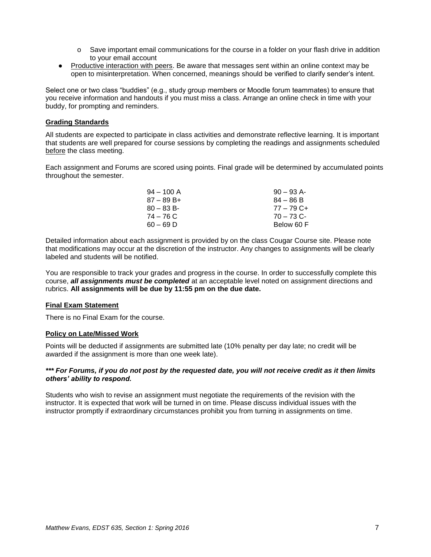- o Save important email communications for the course in a folder on your flash drive in addition to your email account
- Productive interaction with peers. Be aware that messages sent within an online context may be open to misinterpretation. When concerned, meanings should be verified to clarify sender's intent.

Select one or two class "buddies" (e.g., study group members or Moodle forum teammates) to ensure that you receive information and handouts if you must miss a class. Arrange an online check in time with your buddy, for prompting and reminders.

#### <span id="page-6-0"></span>**Grading Standards**

All students are expected to participate in class activities and demonstrate reflective learning. It is important that students are well prepared for course sessions by completing the readings and assignments scheduled before the class meeting.

Each assignment and Forums are scored using points. Final grade will be determined by accumulated points throughout the semester.

| $94 - 100$ A | $90 - 93$ A- |
|--------------|--------------|
| $87 - 89B +$ | $84 - 86 B$  |
| $80 - 83 B$  | $77 - 79C +$ |
| 74 – 76 C    | $70 - 73$ C- |
| $60 - 69$ D  | Below 60 F   |

Detailed information about each assignment is provided by on the class Cougar Course site. Please note that modifications may occur at the discretion of the instructor. Any changes to assignments will be clearly labeled and students will be notified.

You are responsible to track your grades and progress in the course. In order to successfully complete this course, *all assignments must be completed* at an acceptable level noted on assignment directions and rubrics. **All assignments will be due by 11:55 pm on the due date.**

#### <span id="page-6-1"></span>**Final Exam Statement**

There is no Final Exam for the course.

#### <span id="page-6-2"></span>**Policy on Late/Missed Work**

Points will be deducted if assignments are submitted late (10% penalty per day late; no credit will be awarded if the assignment is more than one week late).

#### *\*\*\* For Forums, if you do not post by the requested date, you will not receive credit as it then limits others' ability to respond.*

Students who wish to revise an assignment must negotiate the requirements of the revision with the instructor. It is expected that work will be turned in on time. Please discuss individual issues with the instructor promptly if extraordinary circumstances prohibit you from turning in assignments on time.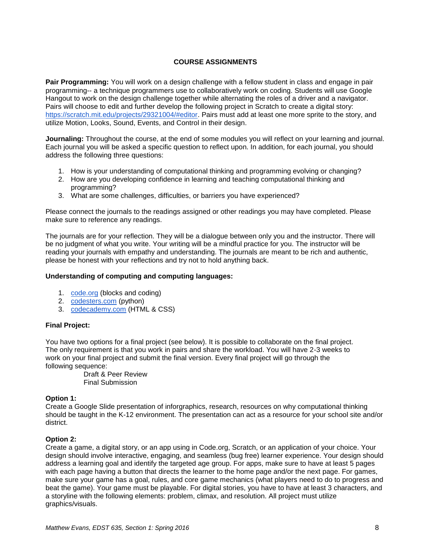## **COURSE ASSIGNMENTS**

<span id="page-7-0"></span>**Pair Programming:** You will work on a design challenge with a fellow student in class and engage in pair programming-- a technique programmers use to collaboratively work on coding. Students will use Google Hangout to work on the design challenge together while alternating the roles of a driver and a navigator. Pairs will choose to edit and further develop the following project in Scratch to create a digital story: [https://scratch.mit.edu/projects/29321004/#editor.](https://scratch.mit.edu/projects/29321004/#editor) Pairs must add at least one more sprite to the story, and utilize Motion, Looks, Sound, Events, and Control in their design.

**Journaling:** Throughout the course, at the end of some modules you will reflect on your learning and journal. Each journal you will be asked a specific question to reflect upon. In addition, for each journal, you should address the following three questions:

- 1. How is your understanding of computational thinking and programming evolving or changing?
- 2. How are you developing confidence in learning and teaching computational thinking and programming?
- 3. What are some challenges, difficulties, or barriers you have experienced?

Please connect the journals to the readings assigned or other readings you may have completed. Please make sure to reference any readings.

The journals are for your reflection. They will be a dialogue between only you and the instructor. There will be no judgment of what you write. Your writing will be a mindful practice for you. The instructor will be reading your journals with empathy and understanding. The journals are meant to be rich and authentic, please be honest with your reflections and try not to hold anything back.

### **Understanding of computing and computing languages:**

- 1. [code.org](https://code.org/) (blocks and coding)
- 2. [codesters.com](https://www.codesters.com/) (python)
- 3. [codecademy.com](https://www.codecademy.com/) (HTML & CSS)

#### **Final Project:**

You have two options for a final project (see below). It is possible to collaborate on the final project. The only requirement is that you work in pairs and share the workload. You will have 2-3 weeks to work on your final project and submit the final version. Every final project will go through the following sequence:

Draft & Peer Review Final Submission

#### **Option 1:**

Create a Google Slide presentation of inforgraphics, research, resources on why computational thinking should be taught in the K-12 environment. The presentation can act as a resource for your school site and/or district.

### **Option 2:**

<span id="page-7-1"></span>Create a game, a digital story, or an app using in Code.org, Scratch, or an application of your choice. Your design should involve interactive, engaging, and seamless (bug free) learner experience. Your design should address a learning goal and identify the targeted age group. For apps, make sure to have at least 5 pages with each page having a button that directs the learner to the home page and/or the next page. For games, make sure your game has a goal, rules, and core game mechanics (what players need to do to progress and beat the game). Your game must be playable. For digital stories, you have to have at least 3 characters, and a storyline with the following elements: problem, climax, and resolution. All project must utilize graphics/visuals.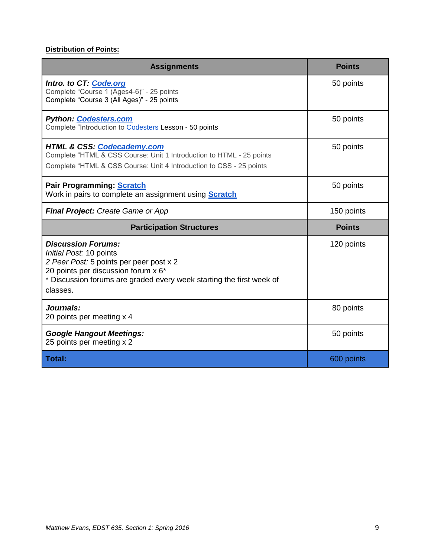# **Distribution of Points:**

| <b>Assignments</b>                                                                                                                                                                                                         | <b>Points</b> |
|----------------------------------------------------------------------------------------------------------------------------------------------------------------------------------------------------------------------------|---------------|
| Intro. to CT: Code.org<br>Complete "Course 1 (Ages4-6)" - 25 points<br>Complete "Course 3 (All Ages)" - 25 points                                                                                                          | 50 points     |
| <b>Python: Codesters.com</b><br>Complete "Introduction to Codesters Lesson - 50 points                                                                                                                                     | 50 points     |
| <b>HTML &amp; CSS: Codecademy.com</b><br>Complete "HTML & CSS Course: Unit 1 Introduction to HTML - 25 points<br>Complete "HTML & CSS Course: Unit 4 Introduction to CSS - 25 points                                       | 50 points     |
| Pair Programming: Scratch<br>Work in pairs to complete an assignment using <b>Scratch</b>                                                                                                                                  | 50 points     |
| <b>Final Project: Create Game or App</b>                                                                                                                                                                                   | 150 points    |
| <b>Participation Structures</b>                                                                                                                                                                                            | <b>Points</b> |
| <b>Discussion Forums:</b><br>Initial Post: 10 points<br>2 Peer Post: 5 points per peer post x 2<br>20 points per discussion forum x 6*<br>* Discussion forums are graded every week starting the first week of<br>classes. | 120 points    |
| Journals:<br>20 points per meeting x 4                                                                                                                                                                                     | 80 points     |
| <b>Google Hangout Meetings:</b><br>25 points per meeting x 2                                                                                                                                                               | 50 points     |
| <b>Total:</b>                                                                                                                                                                                                              | 600 points    |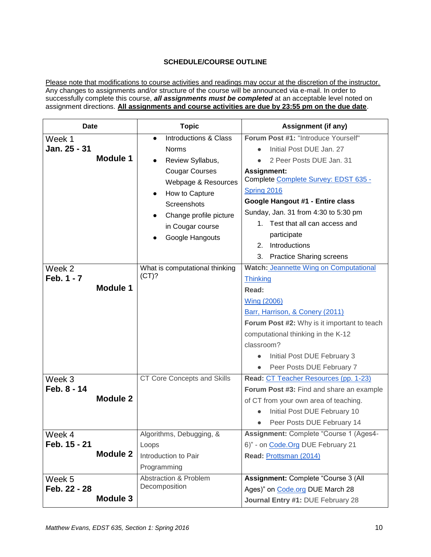## **SCHEDULE/COURSE OUTLINE**

<span id="page-9-0"></span>Please note that modifications to course activities and readings may occur at the discretion of the instructor. Any changes to assignments and/or structure of the course will be announced via e-mail. In order to successfully complete this course, *all assignments must be completed* at an acceptable level noted on assignment directions. **All assignments and course activities are due by 23:55 pm on the due date**.

| <b>Date</b>     | <b>Topic</b>                       | Assignment (if any)                           |
|-----------------|------------------------------------|-----------------------------------------------|
| Week 1          | Introductions & Class<br>$\bullet$ | Forum Post #1: "Introduce Yourself"           |
| Jan. 25 - 31    | <b>Norms</b>                       | Initial Post DUE Jan. 27                      |
| Module 1        | Review Syllabus,                   | 2 Peer Posts DUE Jan. 31                      |
|                 | <b>Cougar Courses</b>              | <b>Assignment:</b>                            |
|                 | Webpage & Resources                | Complete Complete Survey: EDST 635 -          |
|                 | How to Capture<br>$\bullet$        | Spring 2016                                   |
|                 | Screenshots                        | Google Hangout #1 - Entire class              |
|                 | Change profile picture             | Sunday, Jan. 31 from 4:30 to 5:30 pm          |
|                 | in Cougar course                   | 1. Test that all can access and               |
|                 | Google Hangouts                    | participate                                   |
|                 |                                    | Introductions<br>2.                           |
|                 |                                    | 3. Practice Sharing screens                   |
| Week 2          | What is computational thinking     | <b>Watch: Jeannette Wing on Computational</b> |
| Feb. 1 - 7      | (CT)?                              | <b>Thinking</b>                               |
| Module 1        |                                    | Read:                                         |
|                 |                                    | <b>Wing (2006)</b>                            |
|                 |                                    | Barr, Harrison, & Conery (2011)               |
|                 |                                    | Forum Post #2: Why is it important to teach   |
|                 |                                    | computational thinking in the K-12            |
|                 |                                    | classroom?                                    |
|                 |                                    | Initial Post DUE February 3                   |
|                 |                                    | Peer Posts DUE February 7<br>$\bullet$        |
| Week 3          | <b>CT Core Concepts and Skills</b> | Read: CT Teacher Resources (pp. 1-23)         |
| Feb. 8 - 14     |                                    | Forum Post #3: Find and share an example      |
| <b>Module 2</b> |                                    | of CT from your own area of teaching.         |
|                 |                                    | Initial Post DUE February 10                  |
|                 |                                    | Peer Posts DUE February 14                    |
| Week 4          | Algorithms, Debugging, &           | Assignment: Complete "Course 1 (Ages4-        |
| Feb. 15 - 21    | Loops                              | 6)" - on Code. Org DUE February 21            |
| <b>Module 2</b> | Introduction to Pair               | Read: Prottsman (2014)                        |
|                 | Programming                        |                                               |
| Week 5          | <b>Abstraction &amp; Problem</b>   | Assignment: Complete "Course 3 (All           |
| Feb. 22 - 28    | Decomposition                      | Ages)" on Code.org DUE March 28               |
| Module 3        |                                    | Journal Entry #1: DUE February 28             |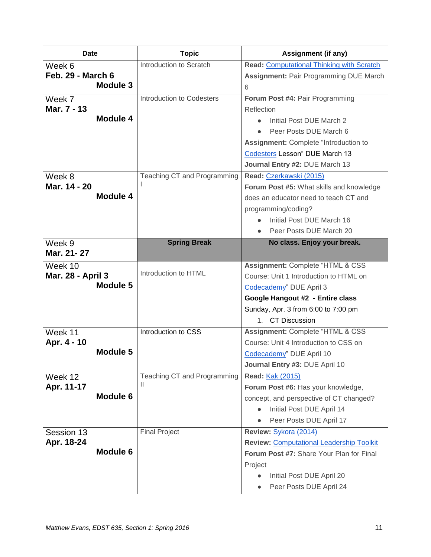| <b>Date</b>                    | <b>Topic</b>                     | <b>Assignment (if any)</b>                       |
|--------------------------------|----------------------------------|--------------------------------------------------|
| Week 6                         | Introduction to Scratch          | <b>Read: Computational Thinking with Scratch</b> |
| <b>Feb. 29 - March 6</b>       |                                  | Assignment: Pair Programming DUE March           |
| Module 3                       |                                  | 6                                                |
| Week 7                         | Introduction to Codesters        | Forum Post #4: Pair Programming                  |
| Mar. 7 - 13                    |                                  | Reflection                                       |
| <b>Module 4</b>                |                                  | Initial Post DUE March 2                         |
|                                |                                  | Peer Posts DUE March 6                           |
|                                |                                  | Assignment: Complete "Introduction to            |
|                                |                                  | Codesters Lesson" DUE March 13                   |
|                                |                                  | Journal Entry #2: DUE March 13                   |
| Week 8                         | Teaching CT and Programming      | Read: Czerkawski (2015)                          |
| Mar. 14 - 20                   |                                  | Forum Post #5: What skills and knowledge         |
| <b>Module 4</b>                |                                  | does an educator need to teach CT and            |
|                                |                                  | programming/coding?                              |
|                                |                                  | Initial Post DUE March 16                        |
|                                |                                  | Peer Posts DUE March 20                          |
| Week 9                         | <b>Spring Break</b>              | No class. Enjoy your break.                      |
| Mar. 21-27                     |                                  |                                                  |
| Week 10                        | Introduction to HTML             | Assignment: Complete "HTML & CSS                 |
| Mar. 28 - April 3              |                                  | Course: Unit 1 Introduction to HTML on           |
| Module 5                       |                                  | Codecademy" DUE April 3                          |
|                                |                                  | Google Hangout #2 - Entire class                 |
|                                |                                  | Sunday, Apr. 3 from 6:00 to 7:00 pm              |
|                                |                                  | 1. CT Discussion                                 |
| Week 11                        | Introduction to CSS              | Assignment: Complete "HTML & CSS                 |
| Apr. 4 - 10<br><b>Module 5</b> |                                  | Course: Unit 4 Introduction to CSS on            |
|                                |                                  | Codecademy" DUE April 10                         |
|                                |                                  | Journal Entry #3: DUE April 10                   |
| Week 12                        | Teaching CT and Programming<br>Ш | Read: <b>Kak (2015)</b>                          |
| Apr. 11-17<br><b>Module 6</b>  |                                  | Forum Post #6: Has your knowledge,               |
|                                |                                  | concept, and perspective of CT changed?          |
|                                |                                  | Initial Post DUE April 14                        |
|                                |                                  | Peer Posts DUE April 17                          |
| Session 13                     | <b>Final Project</b>             | Review: Sykora (2014)                            |
| Apr. 18-24<br>Module 6         |                                  | <b>Review: Computational Leadership Toolkit</b>  |
|                                |                                  | Forum Post #7: Share Your Plan for Final         |
|                                |                                  | Project                                          |
|                                |                                  | Initial Post DUE April 20                        |
|                                |                                  | Peer Posts DUE April 24<br>$\bullet$             |